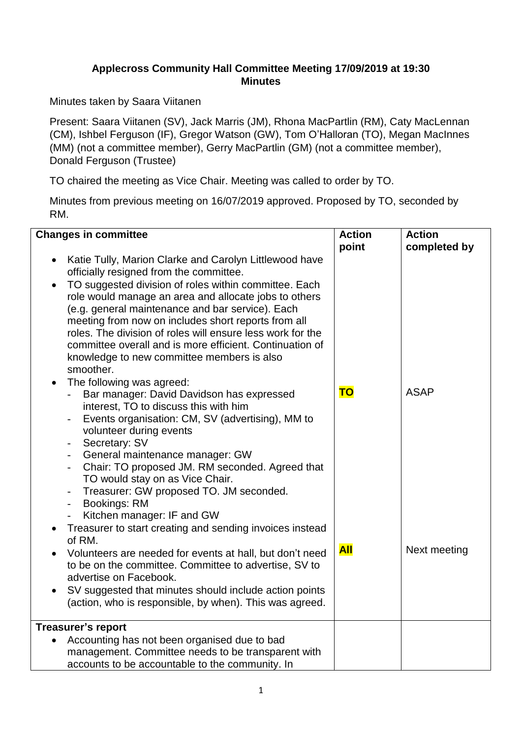## **Applecross Community Hall Committee Meeting 17/09/2019 at 19:30 Minutes**

Minutes taken by Saara Viitanen

Present: Saara Viitanen (SV), Jack Marris (JM), Rhona MacPartlin (RM), Caty MacLennan (CM), Ishbel Ferguson (IF), Gregor Watson (GW), Tom O'Halloran (TO), Megan MacInnes (MM) (not a committee member), Gerry MacPartlin (GM) (not a committee member), Donald Ferguson (Trustee)

TO chaired the meeting as Vice Chair. Meeting was called to order by TO.

Minutes from previous meeting on 16/07/2019 approved. Proposed by TO, seconded by RM.

| <b>Changes in committee</b>                                                  | <b>Action</b> | <b>Action</b> |
|------------------------------------------------------------------------------|---------------|---------------|
|                                                                              | point         | completed by  |
| Katie Tully, Marion Clarke and Carolyn Littlewood have                       |               |               |
| officially resigned from the committee.                                      |               |               |
| TO suggested division of roles within committee. Each                        |               |               |
| role would manage an area and allocate jobs to others                        |               |               |
| (e.g. general maintenance and bar service). Each                             |               |               |
| meeting from now on includes short reports from all                          |               |               |
| roles. The division of roles will ensure less work for the                   |               |               |
| committee overall and is more efficient. Continuation of                     |               |               |
| knowledge to new committee members is also                                   |               |               |
| smoother.                                                                    |               |               |
| The following was agreed:                                                    |               |               |
| Bar manager: David Davidson has expressed<br>$-$                             | <b>TO</b>     | <b>ASAP</b>   |
| interest, TO to discuss this with him                                        |               |               |
| Events organisation: CM, SV (advertising), MM to<br>$\overline{\phantom{a}}$ |               |               |
| volunteer during events                                                      |               |               |
| Secretary: SV<br>$\blacksquare$                                              |               |               |
| General maintenance manager: GW<br>$\overline{\phantom{a}}$                  |               |               |
| Chair: TO proposed JM. RM seconded. Agreed that<br>$\overline{\phantom{a}}$  |               |               |
| TO would stay on as Vice Chair.                                              |               |               |
| Treasurer: GW proposed TO. JM seconded.<br>$\qquad \qquad -$                 |               |               |
| <b>Bookings: RM</b><br>$\overline{\phantom{a}}$                              |               |               |
| Kitchen manager: IF and GW                                                   |               |               |
| Treasurer to start creating and sending invoices instead                     |               |               |
| of RM.                                                                       |               |               |
| Volunteers are needed for events at hall, but don't need                     | <b>All</b>    | Next meeting  |
| to be on the committee. Committee to advertise, SV to                        |               |               |
| advertise on Facebook.                                                       |               |               |
| SV suggested that minutes should include action points                       |               |               |
| (action, who is responsible, by when). This was agreed.                      |               |               |
| <b>Treasurer's report</b>                                                    |               |               |
| Accounting has not been organised due to bad                                 |               |               |
| management. Committee needs to be transparent with                           |               |               |
| accounts to be accountable to the community. In                              |               |               |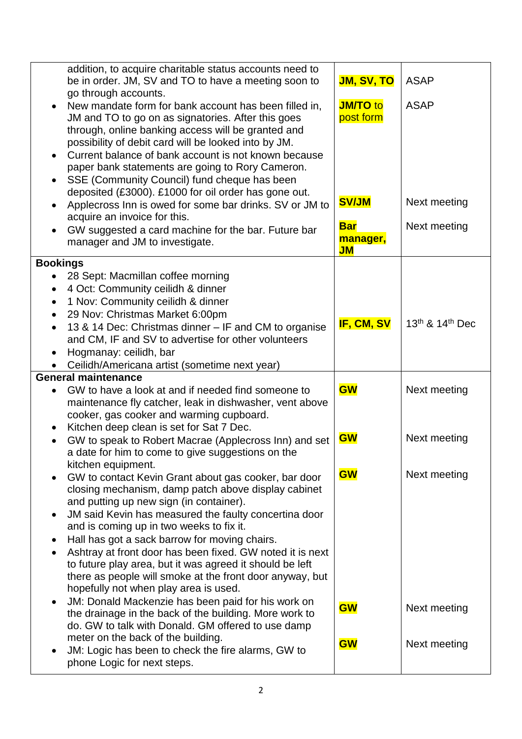| addition, to acquire charitable status accounts need to<br>be in order. JM, SV and TO to have a meeting soon to<br>go through accounts.<br>New mandate form for bank account has been filled in,<br>$\bullet$<br>JM and TO to go on as signatories. After this goes<br>through, online banking access will be granted and<br>possibility of debit card will be looked into by JM.<br>Current balance of bank account is not known because<br>$\bullet$<br>paper bank statements are going to Rory Cameron.<br>SSE (Community Council) fund cheque has been<br>$\bullet$<br>deposited (£3000). £1000 for oil order has gone out.<br>Applecross Inn is owed for some bar drinks. SV or JM to<br>$\bullet$<br>acquire an invoice for this.<br>GW suggested a card machine for the bar. Future bar<br>$\bullet$<br>manager and JM to investigate. | <b>JM, SV, TO</b><br><b>JM/TO</b> to<br>post form<br><b>SV/JM</b><br><b>Bar</b><br>manager,<br>$J$ M | <b>ASAP</b><br><b>ASAP</b><br>Next meeting<br>Next meeting |
|-----------------------------------------------------------------------------------------------------------------------------------------------------------------------------------------------------------------------------------------------------------------------------------------------------------------------------------------------------------------------------------------------------------------------------------------------------------------------------------------------------------------------------------------------------------------------------------------------------------------------------------------------------------------------------------------------------------------------------------------------------------------------------------------------------------------------------------------------|------------------------------------------------------------------------------------------------------|------------------------------------------------------------|
| <b>Bookings</b><br>28 Sept: Macmillan coffee morning<br>4 Oct: Community ceilidh & dinner<br>$\bullet$<br>1 Nov: Community ceilidh & dinner<br>$\bullet$<br>29 Nov: Christmas Market 6:00pm<br>$\bullet$<br>13 & 14 Dec: Christmas dinner – IF and CM to organise<br>$\bullet$<br>and CM, IF and SV to advertise for other volunteers<br>Hogmanay: ceilidh, bar<br>$\bullet$<br>Ceilidh/Americana artist (sometime next year)                                                                                                                                                                                                                                                                                                                                                                                                                 | IF, CM, SV                                                                                           | 13th & 14th Dec                                            |
| <b>General maintenance</b><br>GW to have a look at and if needed find someone to<br>$\bullet$<br>maintenance fly catcher, leak in dishwasher, vent above<br>cooker, gas cooker and warming cupboard.<br>Kitchen deep clean is set for Sat 7 Dec.<br>$\bullet$                                                                                                                                                                                                                                                                                                                                                                                                                                                                                                                                                                                 | <b>GW</b>                                                                                            | Next meeting                                               |
| GW to speak to Robert Macrae (Applecross Inn) and set<br>a date for him to come to give suggestions on the                                                                                                                                                                                                                                                                                                                                                                                                                                                                                                                                                                                                                                                                                                                                    | <b>GW</b>                                                                                            | Next meeting                                               |
| kitchen equipment.<br>GW to contact Kevin Grant about gas cooker, bar door<br>$\bullet$<br>closing mechanism, damp patch above display cabinet<br>and putting up new sign (in container).<br>JM said Kevin has measured the faulty concertina door<br>$\bullet$<br>and is coming up in two weeks to fix it.<br>Hall has got a sack barrow for moving chairs.<br>Ashtray at front door has been fixed. GW noted it is next<br>$\bullet$<br>to future play area, but it was agreed it should be left<br>there as people will smoke at the front door anyway, but<br>hopefully not when play area is used.<br>JM: Donald Mackenzie has been paid for his work on<br>$\bullet$<br>the drainage in the back of the building. More work to<br>do. GW to talk with Donald. GM offered to use damp                                                    | <b>GW</b><br><b>GW</b>                                                                               | Next meeting<br>Next meeting                               |
| meter on the back of the building.<br>JM: Logic has been to check the fire alarms, GW to<br>$\bullet$<br>phone Logic for next steps.                                                                                                                                                                                                                                                                                                                                                                                                                                                                                                                                                                                                                                                                                                          | <b>GW</b>                                                                                            | Next meeting                                               |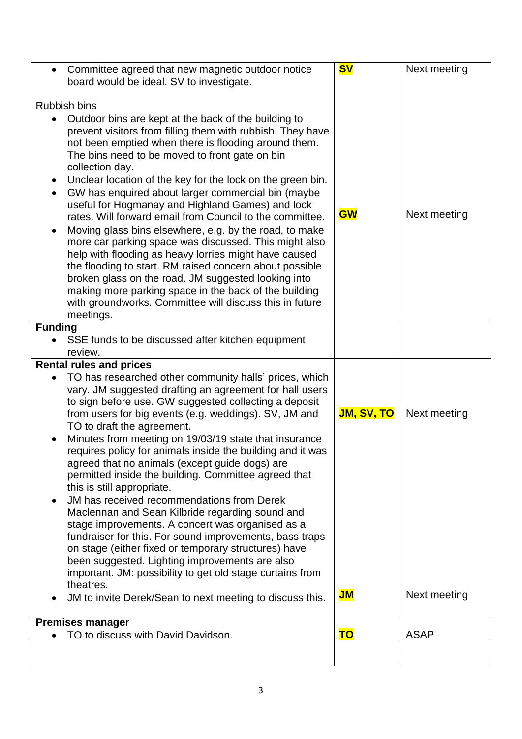| $\bullet$                           | Committee agreed that new magnetic outdoor notice<br>board would be ideal. SV to investigate.                                                                                                                                                                                                                                                                                                                                                                                                                                                                                                                                                                                                                                                                                                                                                                                                                      | <b>SV</b>         | Next meeting |  |
|-------------------------------------|--------------------------------------------------------------------------------------------------------------------------------------------------------------------------------------------------------------------------------------------------------------------------------------------------------------------------------------------------------------------------------------------------------------------------------------------------------------------------------------------------------------------------------------------------------------------------------------------------------------------------------------------------------------------------------------------------------------------------------------------------------------------------------------------------------------------------------------------------------------------------------------------------------------------|-------------------|--------------|--|
|                                     |                                                                                                                                                                                                                                                                                                                                                                                                                                                                                                                                                                                                                                                                                                                                                                                                                                                                                                                    |                   |              |  |
|                                     | <b>Rubbish bins</b>                                                                                                                                                                                                                                                                                                                                                                                                                                                                                                                                                                                                                                                                                                                                                                                                                                                                                                |                   |              |  |
| $\bullet$<br>$\bullet$<br>$\bullet$ | Outdoor bins are kept at the back of the building to<br>prevent visitors from filling them with rubbish. They have<br>not been emptied when there is flooding around them.<br>The bins need to be moved to front gate on bin<br>collection day.<br>Unclear location of the key for the lock on the green bin.<br>GW has enquired about larger commercial bin (maybe<br>useful for Hogmanay and Highland Games) and lock<br>rates. Will forward email from Council to the committee.<br>Moving glass bins elsewhere, e.g. by the road, to make<br>more car parking space was discussed. This might also<br>help with flooding as heavy lorries might have caused<br>the flooding to start. RM raised concern about possible<br>broken glass on the road. JM suggested looking into<br>making more parking space in the back of the building<br>with groundworks. Committee will discuss this in future<br>meetings. | <b>GW</b>         | Next meeting |  |
| <b>Funding</b>                      |                                                                                                                                                                                                                                                                                                                                                                                                                                                                                                                                                                                                                                                                                                                                                                                                                                                                                                                    |                   |              |  |
|                                     | SSE funds to be discussed after kitchen equipment                                                                                                                                                                                                                                                                                                                                                                                                                                                                                                                                                                                                                                                                                                                                                                                                                                                                  |                   |              |  |
|                                     | review.                                                                                                                                                                                                                                                                                                                                                                                                                                                                                                                                                                                                                                                                                                                                                                                                                                                                                                            |                   |              |  |
|                                     | <b>Rental rules and prices</b>                                                                                                                                                                                                                                                                                                                                                                                                                                                                                                                                                                                                                                                                                                                                                                                                                                                                                     |                   |              |  |
| $\bullet$                           | TO has researched other community halls' prices, which<br>vary. JM suggested drafting an agreement for hall users<br>to sign before use. GW suggested collecting a deposit<br>from users for big events (e.g. weddings). SV, JM and<br>TO to draft the agreement.                                                                                                                                                                                                                                                                                                                                                                                                                                                                                                                                                                                                                                                  | <b>JM, SV, TO</b> | Next meeting |  |
| $\bullet$                           | Minutes from meeting on 19/03/19 state that insurance<br>requires policy for animals inside the building and it was<br>agreed that no animals (except guide dogs) are<br>permitted inside the building. Committee agreed that<br>this is still appropriate.                                                                                                                                                                                                                                                                                                                                                                                                                                                                                                                                                                                                                                                        |                   |              |  |
| $\bullet$                           | JM has received recommendations from Derek<br>Maclennan and Sean Kilbride regarding sound and<br>stage improvements. A concert was organised as a<br>fundraiser for this. For sound improvements, bass traps<br>on stage (either fixed or temporary structures) have<br>been suggested. Lighting improvements are also<br>important. JM: possibility to get old stage curtains from                                                                                                                                                                                                                                                                                                                                                                                                                                                                                                                                |                   |              |  |
|                                     | theatres.<br>JM to invite Derek/Sean to next meeting to discuss this.                                                                                                                                                                                                                                                                                                                                                                                                                                                                                                                                                                                                                                                                                                                                                                                                                                              | $J$ M             | Next meeting |  |
| <b>Premises manager</b>             |                                                                                                                                                                                                                                                                                                                                                                                                                                                                                                                                                                                                                                                                                                                                                                                                                                                                                                                    |                   |              |  |
|                                     | TO to discuss with David Davidson.                                                                                                                                                                                                                                                                                                                                                                                                                                                                                                                                                                                                                                                                                                                                                                                                                                                                                 | <b>TO</b>         | <b>ASAP</b>  |  |
|                                     |                                                                                                                                                                                                                                                                                                                                                                                                                                                                                                                                                                                                                                                                                                                                                                                                                                                                                                                    |                   |              |  |